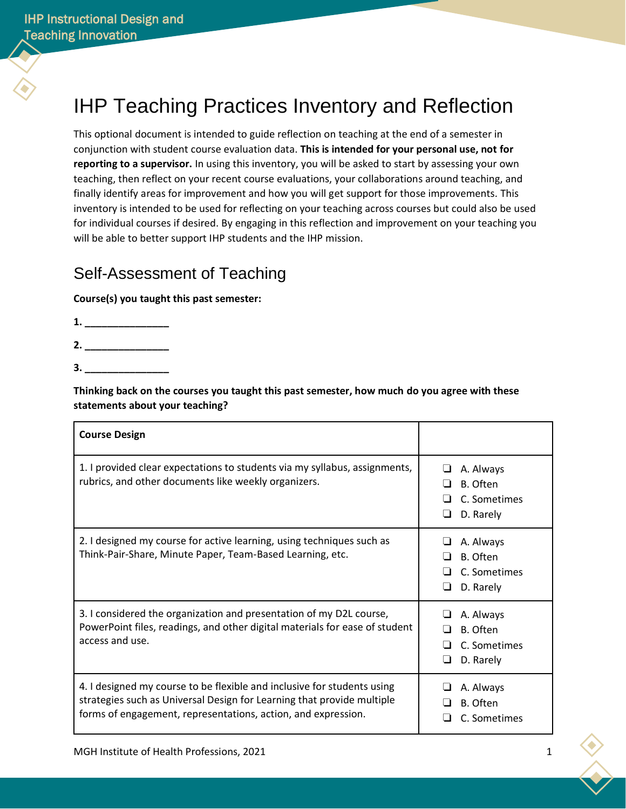# IHP Teaching Practices Inventory and Reflection

This optional document is intended to guide reflection on teaching at the end of a semester in conjunction with student course evaluation data. **This is intended for your personal use, not for reporting to a supervisor.** In using this inventory, you will be asked to start by assessing your own teaching, then reflect on your recent course evaluations, your collaborations around teaching, and finally identify areas for improvement and how you will get support for those improvements. This inventory is intended to be used for reflecting on your teaching across courses but could also be used for individual courses if desired. By engaging in this reflection and improvement on your teaching you will be able to better support IHP students and the IHP mission.

### Self-Assessment of Teaching

**Course(s) you taught this past semester:**

**1. \_\_\_\_\_\_\_\_\_\_\_\_\_\_\_**

**2. \_\_\_\_\_\_\_\_\_\_\_\_\_\_\_**

**3. \_\_\_\_\_\_\_\_\_\_\_\_\_\_\_**

**Thinking back on the courses you taught this past semester, how much do you agree with these statements about your teaching?**

| <b>Course Design</b>                                                                                                                                                                                               |                                                                            |
|--------------------------------------------------------------------------------------------------------------------------------------------------------------------------------------------------------------------|----------------------------------------------------------------------------|
| 1. I provided clear expectations to students via my syllabus, assignments,<br>rubrics, and other documents like weekly organizers.                                                                                 | A. Always<br>$\blacksquare$<br>B. Often<br>C. Sometimes<br>D. Rarely<br>⊔  |
| 2. I designed my course for active learning, using techniques such as<br>Think-Pair-Share, Minute Paper, Team-Based Learning, etc.                                                                                 | A. Always<br>⊔<br>B. Often<br>l 1<br>C. Sometimes<br>l I<br>D. Rarely<br>⊔ |
| 3. I considered the organization and presentation of my D2L course,<br>PowerPoint files, readings, and other digital materials for ease of student<br>access and use.                                              | A. Always<br>ப<br>B. Often<br>П<br>C. Sometimes<br>D. Rarely<br>⊔          |
| 4. I designed my course to be flexible and inclusive for students using<br>strategies such as Universal Design for Learning that provide multiple<br>forms of engagement, representations, action, and expression. | A. Always<br>B. Often<br>C. Sometimes                                      |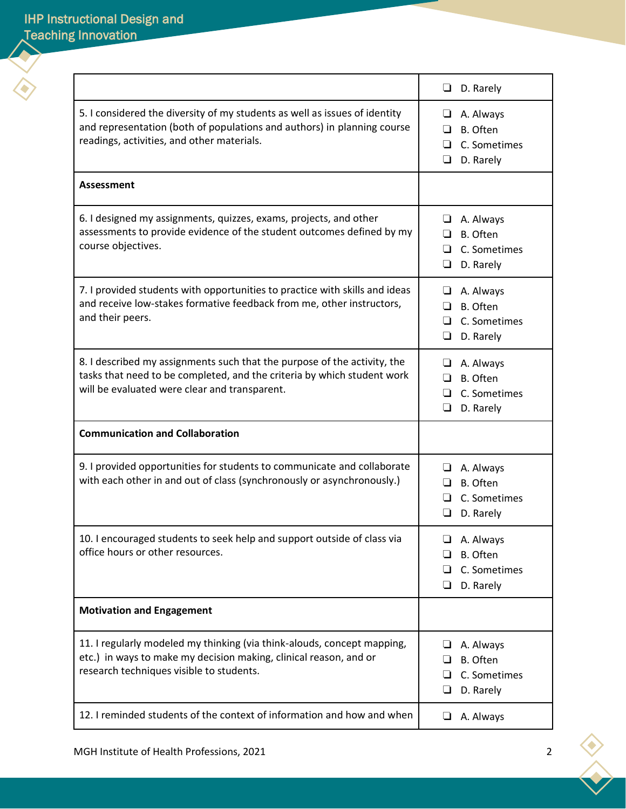|                                                                                                                                                                                                      | D. Rarely<br>u                                                           |
|------------------------------------------------------------------------------------------------------------------------------------------------------------------------------------------------------|--------------------------------------------------------------------------|
| 5. I considered the diversity of my students as well as issues of identity<br>and representation (both of populations and authors) in planning course<br>readings, activities, and other materials.  | A. Always<br>⊔<br>B. Often<br>□<br>C. Sometimes<br>⊔<br>❏<br>D. Rarely   |
| <b>Assessment</b>                                                                                                                                                                                    |                                                                          |
| 6. I designed my assignments, quizzes, exams, projects, and other<br>assessments to provide evidence of the student outcomes defined by my<br>course objectives.                                     | A. Always<br>⊔<br>B. Often<br>П<br>C. Sometimes<br>ப<br>D. Rarely<br>ப   |
| 7. I provided students with opportunities to practice with skills and ideas<br>and receive low-stakes formative feedback from me, other instructors,<br>and their peers.                             | $\Box$ A. Always<br>B. Often<br>□<br>C. Sometimes<br>⊔<br>❏<br>D. Rarely |
| 8. I described my assignments such that the purpose of the activity, the<br>tasks that need to be completed, and the criteria by which student work<br>will be evaluated were clear and transparent. | $\Box$ A. Always<br>B. Often<br>□<br>C. Sometimes<br>ப<br>❏<br>D. Rarely |
| <b>Communication and Collaboration</b>                                                                                                                                                               |                                                                          |
| 9. I provided opportunities for students to communicate and collaborate<br>with each other in and out of class (synchronously or asynchronously.)                                                    | A. Always<br>⊔<br>B. Often<br>ப<br>C. Sometimes<br>l 1<br>D. Rarely<br>⊔ |
| 10. I encouraged students to seek help and support outside of class via<br>office hours or other resources.                                                                                          | A. Always<br>ப<br>B. Often<br>C. Sometimes<br>❏<br>D. Rarely<br>❏        |
| <b>Motivation and Engagement</b>                                                                                                                                                                     |                                                                          |
| 11. I regularly modeled my thinking (via think-alouds, concept mapping,<br>etc.) in ways to make my decision making, clinical reason, and or<br>research techniques visible to students.             | A. Always<br>⊔<br>B. Often<br>⊔<br>C. Sometimes<br>ப<br>D. Rarely<br>ப   |
| 12. I reminded students of the context of information and how and when                                                                                                                               | A. Always<br>⊔                                                           |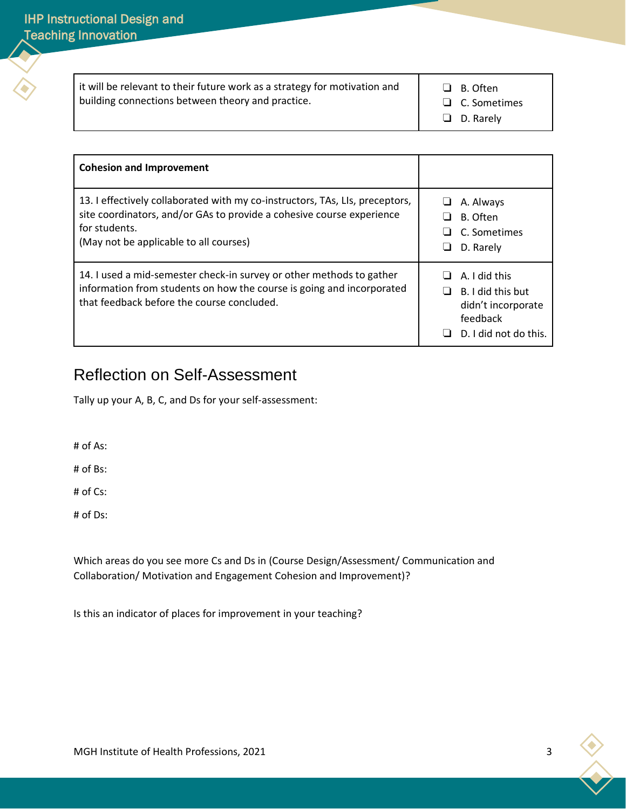it will be relevant to their future work as a strategy for motivation and building connections between theory and practice.

❏ B. Often

❏ C. Sometimes

❏ D. Rarely

| <b>Cohesion and Improvement</b>                                                                                                                                                                                  |        |                                                                                                      |
|------------------------------------------------------------------------------------------------------------------------------------------------------------------------------------------------------------------|--------|------------------------------------------------------------------------------------------------------|
| 13. I effectively collaborated with my co-instructors, TAs, LIs, preceptors,<br>site coordinators, and/or GAs to provide a cohesive course experience<br>for students.<br>(May not be applicable to all courses) | ப<br>ப | A. Always<br>B. Often<br>C. Sometimes<br>D. Rarely                                                   |
| 14. I used a mid-semester check-in survey or other methods to gather<br>information from students on how the course is going and incorporated<br>that feedback before the course concluded.                      |        | A. I did this<br>$\Box$ B. I did this but<br>didn't incorporate<br>feedback<br>D. I did not do this. |

## Reflection on Self-Assessment

Tally up your A, B, C, and Ds for your self-assessment:

# of As:

# of Bs:

# of Cs:

# of Ds:

Which areas do you see more Cs and Ds in (Course Design/Assessment/ Communication and Collaboration/ Motivation and Engagement Cohesion and Improvement)?

Is this an indicator of places for improvement in your teaching?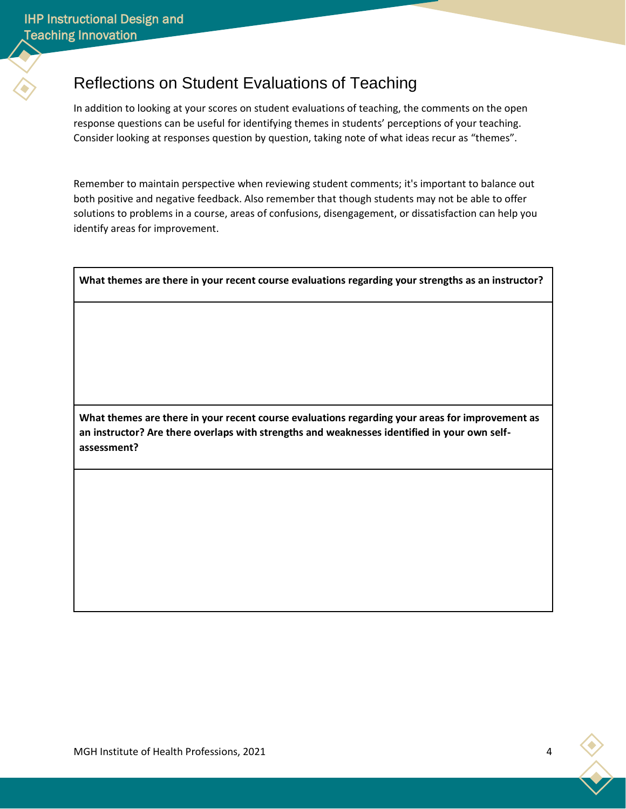# Reflections on Student Evaluations of Teaching

In addition to looking at your scores on student evaluations of teaching, the comments on the open response questions can be useful for identifying themes in students' perceptions of your teaching. Consider looking at responses question by question, taking note of what ideas recur as "themes".

Remember to maintain perspective when reviewing student comments; it's important to balance out both positive and negative feedback. Also remember that though students may not be able to offer solutions to problems in a course, areas of confusions, disengagement, or dissatisfaction can help you identify areas for improvement.

**What themes are there in your recent course evaluations regarding your strengths as an instructor?**

**What themes are there in your recent course evaluations regarding your areas for improvement as an instructor? Are there overlaps with strengths and weaknesses identified in your own selfassessment?**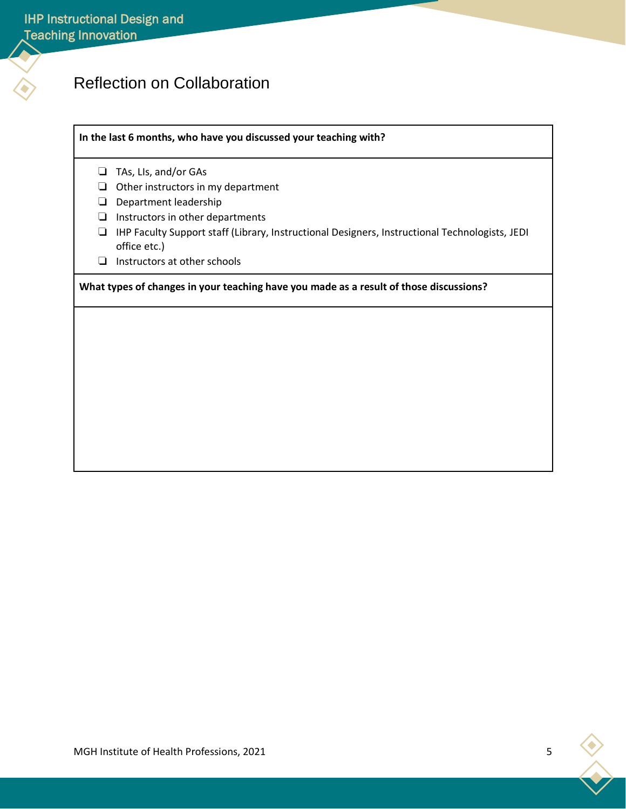# Reflection on Collaboration

#### **In the last 6 months, who have you discussed your teaching with?**

- ❏ TAs, LIs, and/or GAs
- ❏ Other instructors in my department
- ❏ Department leadership
- ❏ Instructors in other departments
- ❏ IHP Faculty Support staff (Library, Instructional Designers, Instructional Technologists, JEDI office etc.)
- ❏ Instructors at other schools

**What types of changes in your teaching have you made as a result of those discussions?**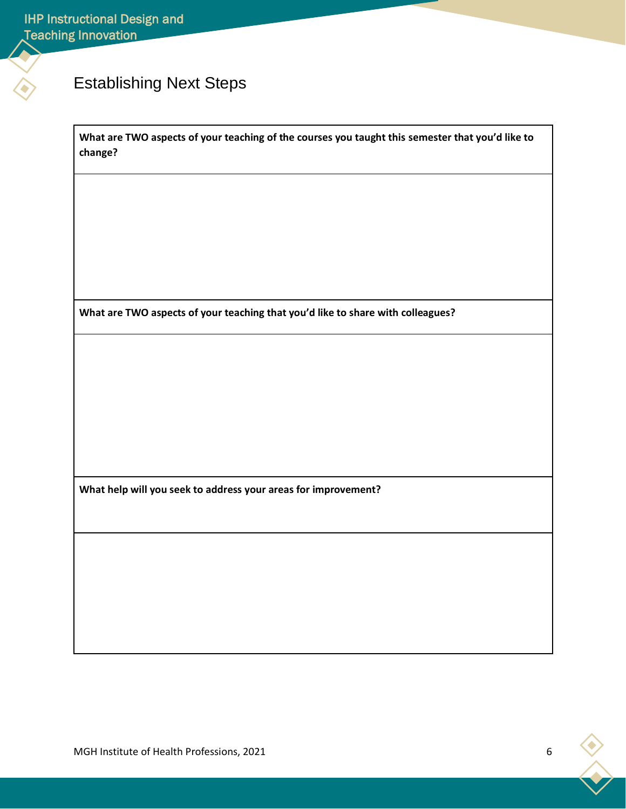# Establishing Next Steps

**What are TWO aspects of your teaching of the courses you taught this semester that you'd like to change?**

**What are TWO aspects of your teaching that you'd like to share with colleagues?**

**What help will you seek to address your areas for improvement?**